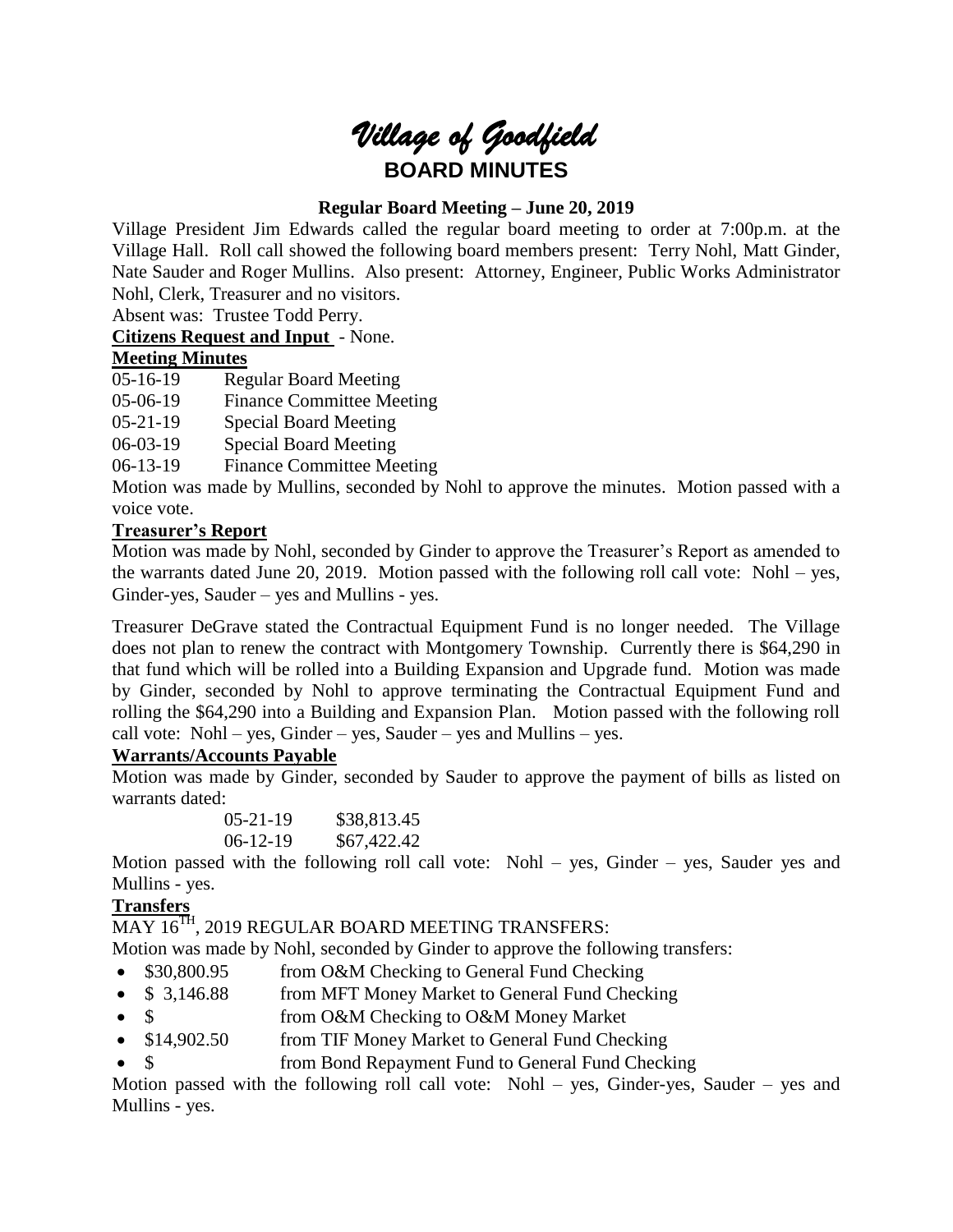# *Village of Goodfield* **BOARD MINUTES**

# **Regular Board Meeting – June 20, 2019**

Village President Jim Edwards called the regular board meeting to order at 7:00p.m. at the Village Hall. Roll call showed the following board members present: Terry Nohl, Matt Ginder, Nate Sauder and Roger Mullins. Also present: Attorney, Engineer, Public Works Administrator Nohl, Clerk, Treasurer and no visitors.

Absent was: Trustee Todd Perry.

**Citizens Request and Input** - None.

# **Meeting Minutes**

05-16-19 Regular Board Meeting

05-06-19 Finance Committee Meeting

05-21-19 Special Board Meeting

06-03-19 Special Board Meeting

06-13-19 Finance Committee Meeting

Motion was made by Mullins, seconded by Nohl to approve the minutes. Motion passed with a voice vote.

# **Treasurer's Report**

Motion was made by Nohl, seconded by Ginder to approve the Treasurer's Report as amended to the warrants dated June 20, 2019. Motion passed with the following roll call vote: Nohl – yes, Ginder-yes, Sauder – yes and Mullins - yes.

Treasurer DeGrave stated the Contractual Equipment Fund is no longer needed. The Village does not plan to renew the contract with Montgomery Township. Currently there is \$64,290 in that fund which will be rolled into a Building Expansion and Upgrade fund. Motion was made by Ginder, seconded by Nohl to approve terminating the Contractual Equipment Fund and rolling the \$64,290 into a Building and Expansion Plan. Motion passed with the following roll call vote: Nohl – yes, Ginder – yes, Sauder – yes and Mullins – yes.

# **Warrants/Accounts Payable**

Motion was made by Ginder, seconded by Sauder to approve the payment of bills as listed on warrants dated:

> 05-21-19 \$38,813.45 06-12-19 \$67,422.42

Motion passed with the following roll call vote: Nohl – yes, Ginder – yes, Sauder yes and Mullins - yes.

# **Transfers**

MAY 16<sup>TH</sup>, 2019 REGULAR BOARD MEETING TRANSFERS:

Motion was made by Nohl, seconded by Ginder to approve the following transfers:

- \$30,800.95 from O&M Checking to General Fund Checking
- \$ 3,146.88 from MFT Money Market to General Fund Checking
- \$ from O&M Checking to O&M Money Market
- \$14,902.50 from TIF Money Market to General Fund Checking
- \$ from Bond Repayment Fund to General Fund Checking

Motion passed with the following roll call vote: Nohl – yes, Ginder-yes, Sauder – yes and Mullins - yes.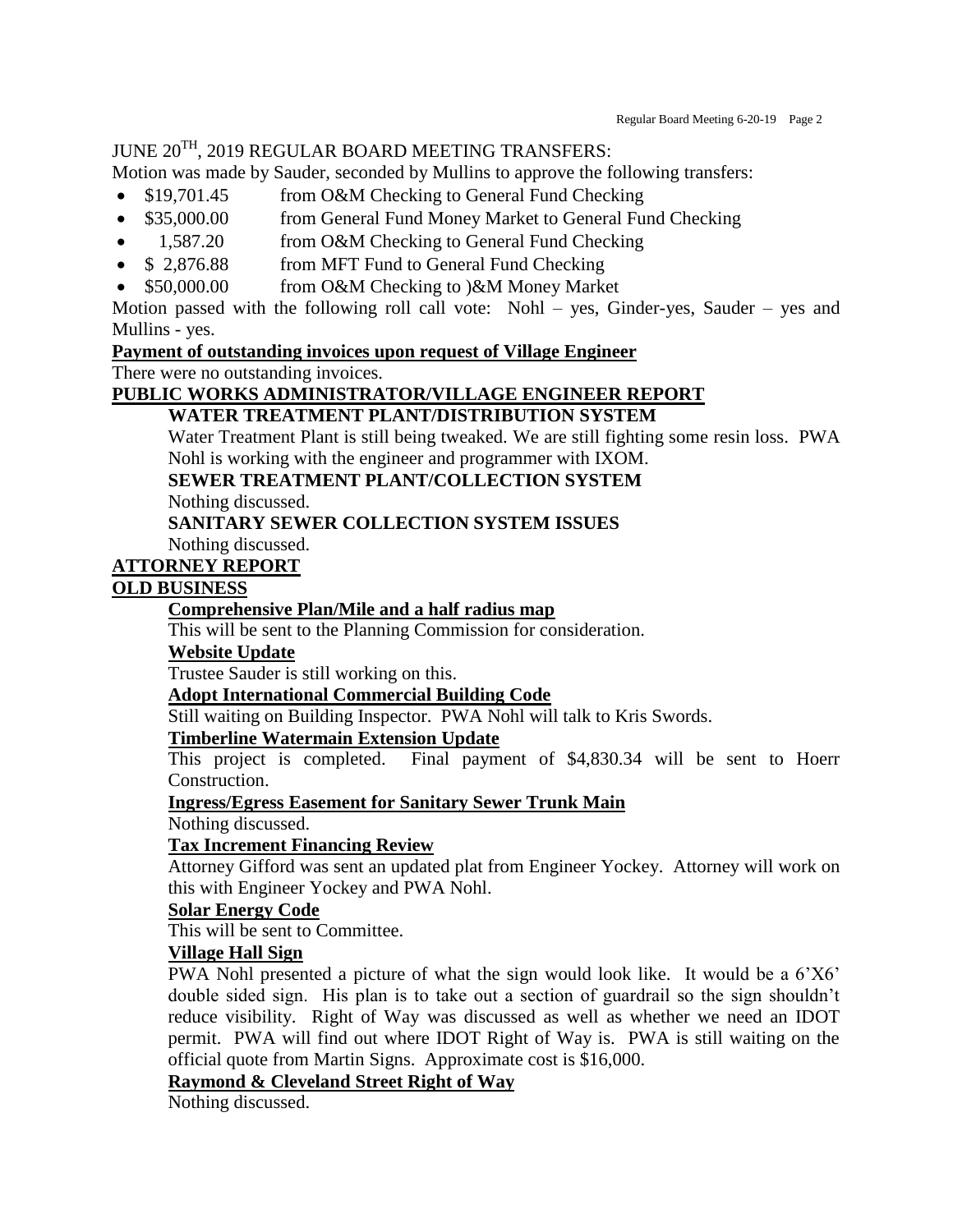# JUNE 20TH, 2019 REGULAR BOARD MEETING TRANSFERS:

Motion was made by Sauder, seconded by Mullins to approve the following transfers:

- \$19,701.45 from O&M Checking to General Fund Checking
- \$35,000.00 from General Fund Money Market to General Fund Checking
- 1,587.20 from O&M Checking to General Fund Checking
- \$ 2,876.88 from MFT Fund to General Fund Checking
- \$50,000.00 from O&M Checking to )&M Money Market

Motion passed with the following roll call vote: Nohl – yes, Ginder-yes, Sauder – yes and Mullins - yes.

#### **Payment of outstanding invoices upon request of Village Engineer**

There were no outstanding invoices.

# **PUBLIC WORKS ADMINISTRATOR/VILLAGE ENGINEER REPORT**

# **WATER TREATMENT PLANT/DISTRIBUTION SYSTEM**

Water Treatment Plant is still being tweaked. We are still fighting some resin loss. PWA Nohl is working with the engineer and programmer with IXOM.

**SEWER TREATMENT PLANT/COLLECTION SYSTEM**

Nothing discussed.

#### **SANITARY SEWER COLLECTION SYSTEM ISSUES**

Nothing discussed.

# **ATTORNEY REPORT**

#### **OLD BUSINESS**

#### **Comprehensive Plan/Mile and a half radius map**

This will be sent to the Planning Commission for consideration.

#### **Website Update**

Trustee Sauder is still working on this.

#### **Adopt International Commercial Building Code**

Still waiting on Building Inspector. PWA Nohl will talk to Kris Swords.

#### **Timberline Watermain Extension Update**

This project is completed. Final payment of \$4,830.34 will be sent to Hoerr Construction.

#### **Ingress/Egress Easement for Sanitary Sewer Trunk Main**

Nothing discussed.

#### **Tax Increment Financing Review**

Attorney Gifford was sent an updated plat from Engineer Yockey. Attorney will work on this with Engineer Yockey and PWA Nohl.

# **Solar Energy Code**

This will be sent to Committee.

#### **Village Hall Sign**

PWA Nohl presented a picture of what the sign would look like. It would be a 6'X6' double sided sign. His plan is to take out a section of guardrail so the sign shouldn't reduce visibility. Right of Way was discussed as well as whether we need an IDOT permit. PWA will find out where IDOT Right of Way is. PWA is still waiting on the official quote from Martin Signs. Approximate cost is \$16,000.

#### **Raymond & Cleveland Street Right of Way**

Nothing discussed.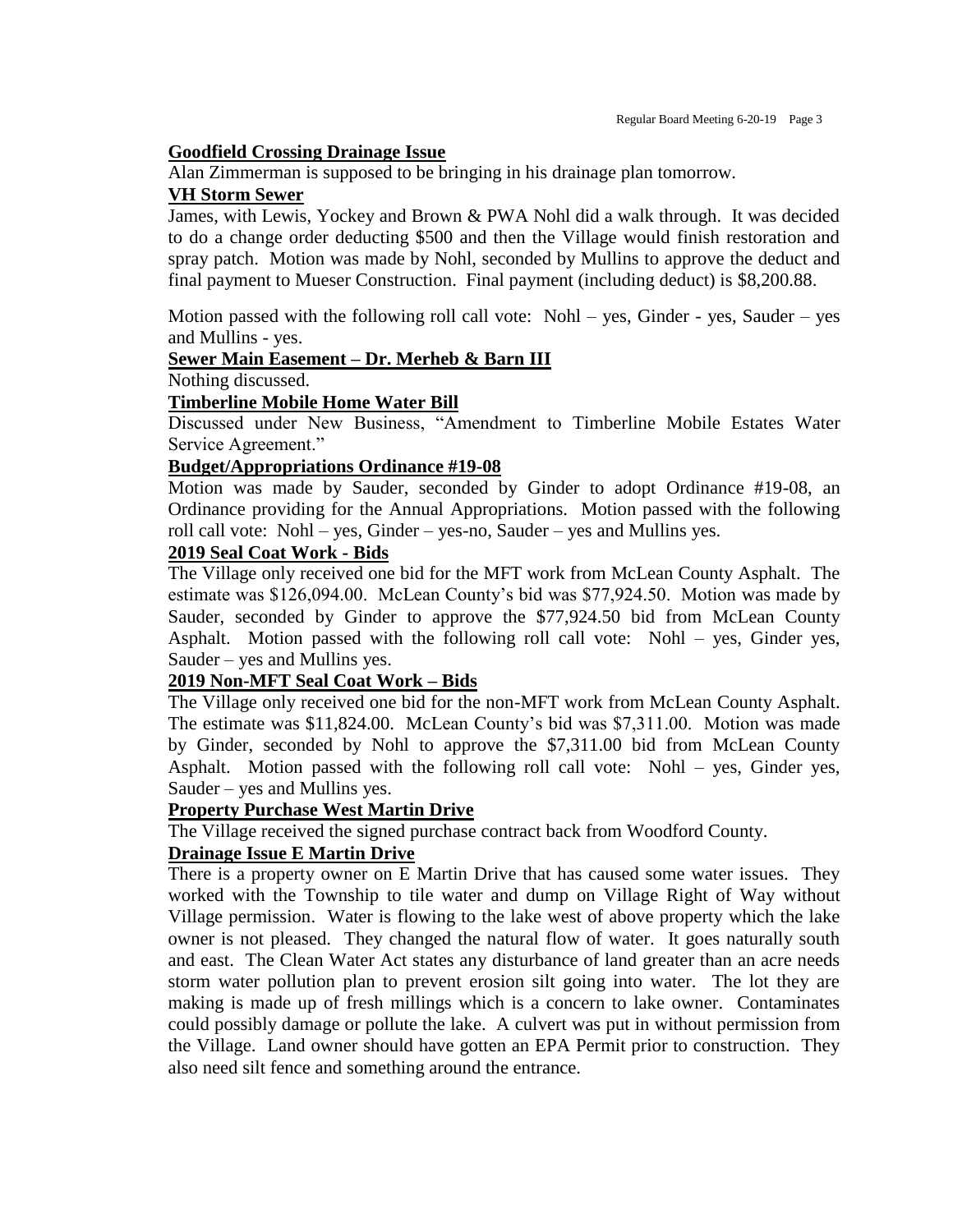#### **Goodfield Crossing Drainage Issue**

Alan Zimmerman is supposed to be bringing in his drainage plan tomorrow.

#### **VH Storm Sewer**

James, with Lewis, Yockey and Brown & PWA Nohl did a walk through. It was decided to do a change order deducting \$500 and then the Village would finish restoration and spray patch. Motion was made by Nohl, seconded by Mullins to approve the deduct and final payment to Mueser Construction. Final payment (including deduct) is \$8,200.88.

Motion passed with the following roll call vote: Nohl – yes, Ginder - yes, Sauder – yes and Mullins - yes.

# **Sewer Main Easement – Dr. Merheb & Barn III**

Nothing discussed.

#### **Timberline Mobile Home Water Bill**

Discussed under New Business, "Amendment to Timberline Mobile Estates Water Service Agreement."

#### **Budget/Appropriations Ordinance #19-08**

Motion was made by Sauder, seconded by Ginder to adopt Ordinance #19-08, an Ordinance providing for the Annual Appropriations. Motion passed with the following roll call vote: Nohl – yes, Ginder – yes-no, Sauder – yes and Mullins yes.

#### **2019 Seal Coat Work - Bids**

The Village only received one bid for the MFT work from McLean County Asphalt. The estimate was \$126,094.00. McLean County's bid was \$77,924.50. Motion was made by Sauder, seconded by Ginder to approve the \$77,924.50 bid from McLean County Asphalt. Motion passed with the following roll call vote: Nohl – yes, Ginder yes, Sauder – yes and Mullins yes.

# **2019 Non-MFT Seal Coat Work – Bids**

The Village only received one bid for the non-MFT work from McLean County Asphalt. The estimate was \$11,824.00. McLean County's bid was \$7,311.00. Motion was made by Ginder, seconded by Nohl to approve the \$7,311.00 bid from McLean County Asphalt. Motion passed with the following roll call vote: Nohl – yes, Ginder yes, Sauder – yes and Mullins yes.

#### **Property Purchase West Martin Drive**

The Village received the signed purchase contract back from Woodford County.

#### **Drainage Issue E Martin Drive**

There is a property owner on E Martin Drive that has caused some water issues. They worked with the Township to tile water and dump on Village Right of Way without Village permission. Water is flowing to the lake west of above property which the lake owner is not pleased. They changed the natural flow of water. It goes naturally south and east. The Clean Water Act states any disturbance of land greater than an acre needs storm water pollution plan to prevent erosion silt going into water. The lot they are making is made up of fresh millings which is a concern to lake owner. Contaminates could possibly damage or pollute the lake. A culvert was put in without permission from the Village. Land owner should have gotten an EPA Permit prior to construction. They also need silt fence and something around the entrance.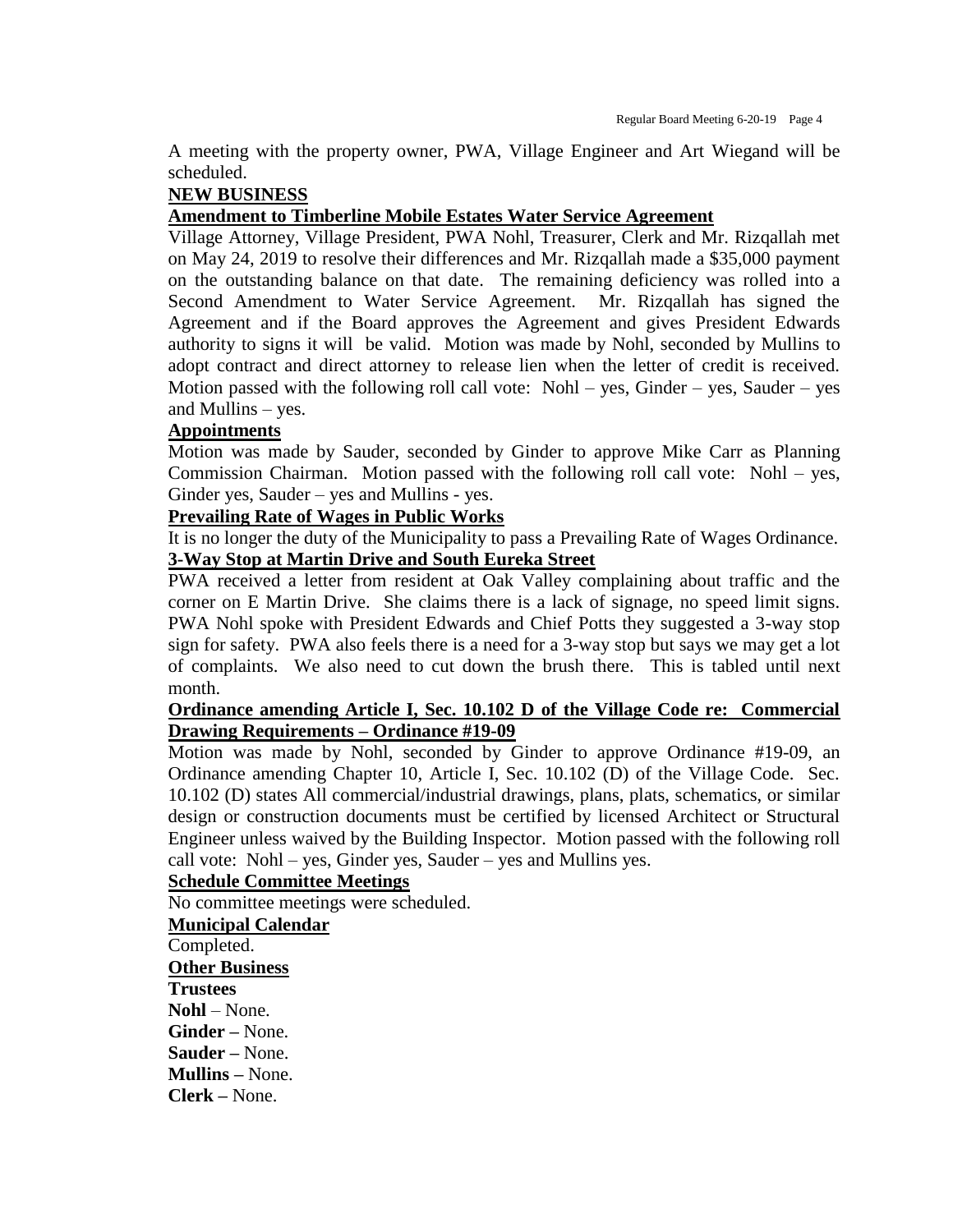A meeting with the property owner, PWA, Village Engineer and Art Wiegand will be scheduled.

## **NEW BUSINESS**

#### **Amendment to Timberline Mobile Estates Water Service Agreement**

Village Attorney, Village President, PWA Nohl, Treasurer, Clerk and Mr. Rizqallah met on May 24, 2019 to resolve their differences and Mr. Rizqallah made a \$35,000 payment on the outstanding balance on that date. The remaining deficiency was rolled into a Second Amendment to Water Service Agreement. Mr. Rizqallah has signed the Agreement and if the Board approves the Agreement and gives President Edwards authority to signs it will be valid. Motion was made by Nohl, seconded by Mullins to adopt contract and direct attorney to release lien when the letter of credit is received. Motion passed with the following roll call vote: Nohl – yes, Ginder – yes, Sauder – yes and Mullins – yes.

#### **Appointments**

Motion was made by Sauder, seconded by Ginder to approve Mike Carr as Planning Commission Chairman. Motion passed with the following roll call vote: Nohl – yes, Ginder yes, Sauder – yes and Mullins - yes.

# **Prevailing Rate of Wages in Public Works**

It is no longer the duty of the Municipality to pass a Prevailing Rate of Wages Ordinance. **3-Way Stop at Martin Drive and South Eureka Street**

PWA received a letter from resident at Oak Valley complaining about traffic and the corner on E Martin Drive. She claims there is a lack of signage, no speed limit signs. PWA Nohl spoke with President Edwards and Chief Potts they suggested a 3-way stop sign for safety. PWA also feels there is a need for a 3-way stop but says we may get a lot of complaints. We also need to cut down the brush there. This is tabled until next month.

# **Ordinance amending Article I, Sec. 10.102 D of the Village Code re: Commercial Drawing Requirements – Ordinance #19-09**

Motion was made by Nohl, seconded by Ginder to approve Ordinance #19-09, an Ordinance amending Chapter 10, Article I, Sec. 10.102 (D) of the Village Code. Sec. 10.102 (D) states All commercial/industrial drawings, plans, plats, schematics, or similar design or construction documents must be certified by licensed Architect or Structural Engineer unless waived by the Building Inspector. Motion passed with the following roll call vote: Nohl – yes, Ginder yes, Sauder – yes and Mullins yes.

# **Schedule Committee Meetings**

No committee meetings were scheduled.

**Municipal Calendar** Completed. **Other Business Trustees Nohl** – None. **Ginder –** None. **Sauder –** None. **Mullins –** None. **Clerk –** None.